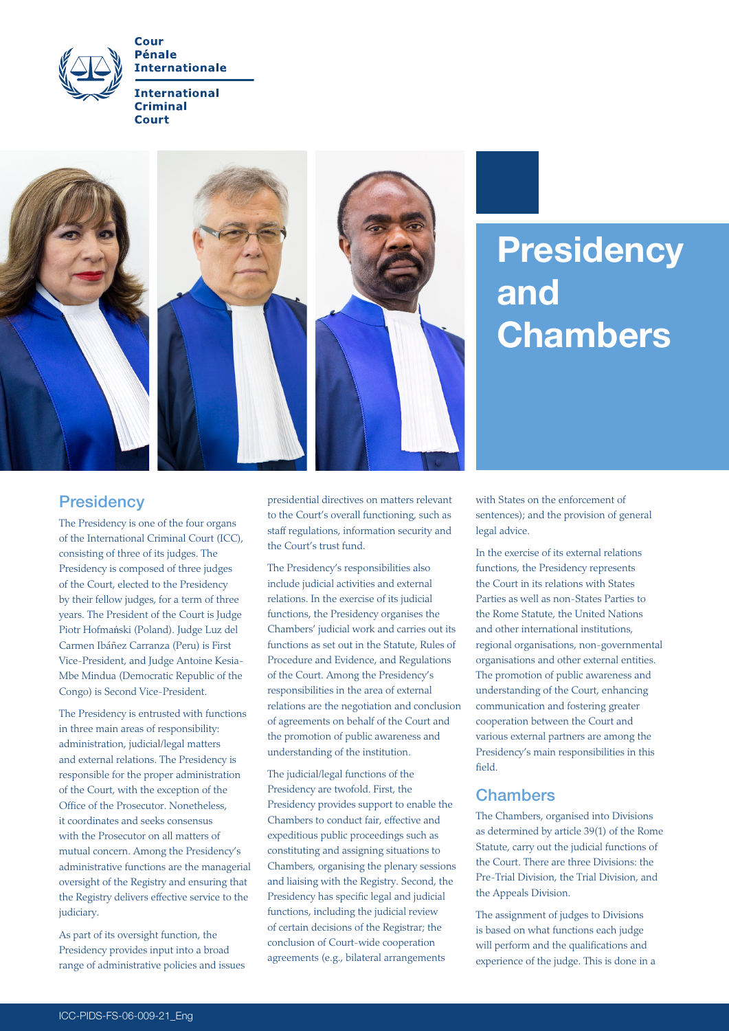

Cour **Pénale Internationale** 

**International Criminal Court** 



# **Presidency** and Chambers

## **Presidency**

The Presidency is one of the four organs of the International Criminal Court (ICC), consisting of three of its judges. The Presidency is composed of three judges of the Court, elected to the Presidency by their fellow judges, for a term of three years. The President of the Court is Judge Piotr Hofmański (Poland). Judge Luz del Carmen Ibáñez Carranza (Peru) is First Vice-President, and Judge Antoine Kesia-Mbe Mindua (Democratic Republic of the Congo) is Second Vice-President.

The Presidency is entrusted with functions in three main areas of responsibility: administration, judicial/legal matters and external relations. The Presidency is responsible for the proper administration of the Court, with the exception of the Office of the Prosecutor. Nonetheless, it coordinates and seeks consensus with the Prosecutor on all matters of mutual concern. Among the Presidency's administrative functions are the managerial oversight of the Registry and ensuring that the Registry delivers effective service to the judiciary.

As part of its oversight function, the Presidency provides input into a broad range of administrative policies and issues presidential directives on matters relevant to the Court's overall functioning, such as staff regulations, information security and the Court's trust fund.

The Presidency's responsibilities also include judicial activities and external relations. In the exercise of its judicial functions, the Presidency organises the Chambers' judicial work and carries out its functions as set out in the Statute, Rules of Procedure and Evidence, and Regulations of the Court. Among the Presidency's responsibilities in the area of external relations are the negotiation and conclusion of agreements on behalf of the Court and the promotion of public awareness and understanding of the institution.

The judicial/legal functions of the Presidency are twofold. First, the Presidency provides support to enable the Chambers to conduct fair, effective and expeditious public proceedings such as constituting and assigning situations to Chambers, organising the plenary sessions and liaising with the Registry. Second, the Presidency has specific legal and judicial functions, including the judicial review of certain decisions of the Registrar; the conclusion of Court-wide cooperation agreements (e.g., bilateral arrangements

with States on the enforcement of sentences); and the provision of general legal advice.

In the exercise of its external relations functions, the Presidency represents the Court in its relations with States Parties as well as non-States Parties to the Rome Statute, the United Nations and other international institutions, regional organisations, non-governmental organisations and other external entities. The promotion of public awareness and understanding of the Court, enhancing communication and fostering greater cooperation between the Court and various external partners are among the Presidency's main responsibilities in this field.

# **Chambers**

The Chambers, organised into Divisions as determined by article 39(1) of the Rome Statute, carry out the judicial functions of the Court. There are three Divisions: the Pre-Trial Division, the Trial Division, and the Appeals Division.

The assignment of judges to Divisions is based on what functions each judge will perform and the qualifications and experience of the judge. This is done in a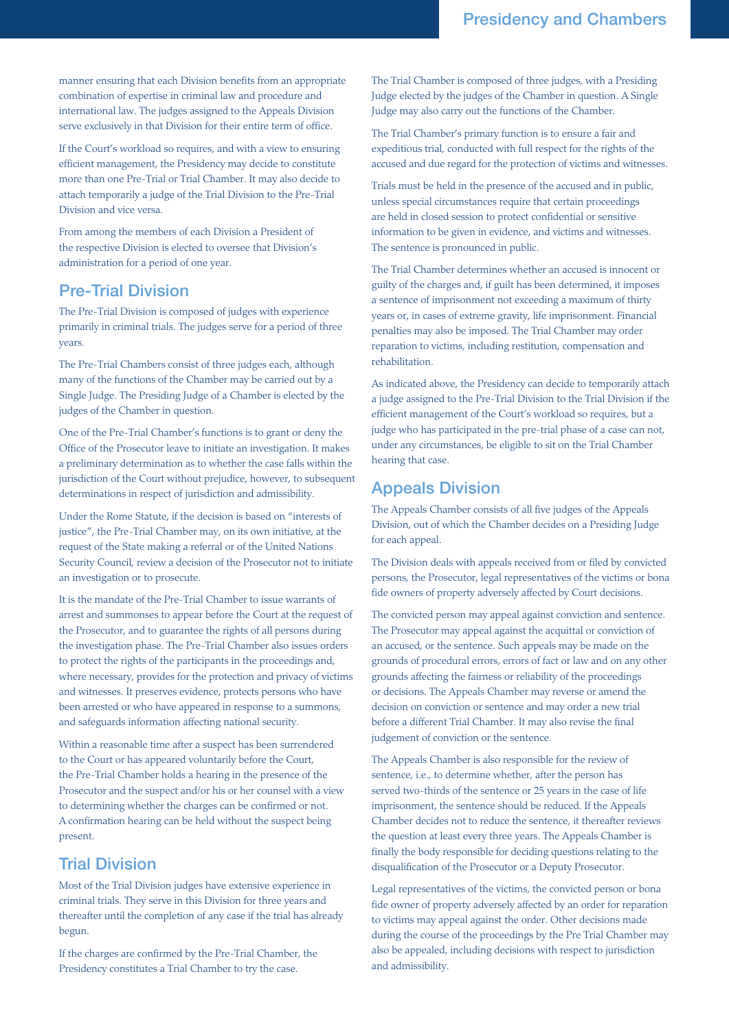manner ensuring that each Division benefits from an appropriate combination of expertise in criminal law and procedure and international law. The judges assigned to the Appeals Division serve exclusively in that Division for their entire term of office.

If the Court's workload so requires, and with a view to ensuring efficient management, the Presidency may decide to constitute more than one Pre-Trial or Trial Chamber. It may also decide to attach temporarily a judge of the Trial Division to the Pre-Trial Division and vice versa.

From among the members of each Division a President of the respective Division is elected to oversee that Division's administration for a period of one year.

## Pre-Trial Division

The Pre-Trial Division is composed of judges with experience primarily in criminal trials. The judges serve for a period of three years.

The Pre-Trial Chambers consist of three judges each, although many of the functions of the Chamber may be carried out by a Single Judge. The Presiding Judge of a Chamber is elected by the judges of the Chamber in question.

One of the Pre-Trial Chamber's functions is to grant or deny the Office of the Prosecutor leave to initiate an investigation. It makes a preliminary determination as to whether the case falls within the jurisdiction of the Court without prejudice, however, to subsequent determinations in respect of jurisdiction and admissibility.

Under the Rome Statute, if the decision is based on "interests of justice", the Pre-Trial Chamber may, on its own initiative, at the request of the State making a referral or of the United Nations Security Council, review a decision of the Prosecutor not to initiate an investigation or to prosecute.

It is the mandate of the Pre-Trial Chamber to issue warrants of arrest and summonses to appear before the Court at the request of the Prosecutor, and to guarantee the rights of all persons during the investigation phase. The Pre-Trial Chamber also issues orders to protect the rights of the participants in the proceedings and, where necessary, provides for the protection and privacy of victims and witnesses. It preserves evidence, protects persons who have been arrested or who have appeared in response to a summons, and safeguards information affecting national security.

Within a reasonable time after a suspect has been surrendered to the Court or has appeared voluntarily before the Court, the Pre-Trial Chamber holds a hearing in the presence of the Prosecutor and the suspect and/or his or her counsel with a view to determining whether the charges can be confirmed or not. A confirmation hearing can be held without the suspect being present.

# Trial Division

Most of the Trial Division judges have extensive experience in criminal trials. They serve in this Division for three years and thereafter until the completion of any case if the trial has already begun.

If the charges are confirmed by the Pre-Trial Chamber, the Presidency constitutes a Trial Chamber to try the case.

The Trial Chamber is composed of three judges, with a Presiding Judge elected by the judges of the Chamber in question. A Single Judge may also carry out the functions of the Chamber.

The Trial Chamber's primary function is to ensure a fair and expeditious trial, conducted with full respect for the rights of the accused and due regard for the protection of victims and witnesses.

Trials must be held in the presence of the accused and in public, unless special circumstances require that certain proceedings are held in closed session to protect confidential or sensitive information to be given in evidence, and victims and witnesses. The sentence is pronounced in public.

The Trial Chamber determines whether an accused is innocent or guilty of the charges and, if guilt has been determined, it imposes a sentence of imprisonment not exceeding a maximum of thirty years or, in cases of extreme gravity, life imprisonment. Financial penalties may also be imposed. The Trial Chamber may order reparation to victims, including restitution, compensation and rehabilitation.

As indicated above, the Presidency can decide to temporarily attach a judge assigned to the Pre-Trial Division to the Trial Division if the efficient management of the Court's workload so requires, but a judge who has participated in the pre-trial phase of a case can not, under any circumstances, be eligible to sit on the Trial Chamber hearing that case.

# Appeals Division

The Appeals Chamber consists of all five judges of the Appeals Division, out of which the Chamber decides on a Presiding Judge for each appeal.

The Division deals with appeals received from or filed by convicted persons, the Prosecutor, legal representatives of the victims or bona fide owners of property adversely affected by Court decisions.

The convicted person may appeal against conviction and sentence. The Prosecutor may appeal against the acquittal or conviction of an accused, or the sentence. Such appeals may be made on the grounds of procedural errors, errors of fact or law and on any other grounds affecting the fairness or reliability of the proceedings or decisions. The Appeals Chamber may reverse or amend the decision on conviction or sentence and may order a new trial before a different Trial Chamber. It may also revise the final judgement of conviction or the sentence.

The Appeals Chamber is also responsible for the review of sentence, i.e., to determine whether, after the person has served two-thirds of the sentence or 25 years in the case of life imprisonment, the sentence should be reduced. If the Appeals Chamber decides not to reduce the sentence, it thereafter reviews the question at least every three years. The Appeals Chamber is finally the body responsible for deciding questions relating to the disqualification of the Prosecutor or a Deputy Prosecutor.

Legal representatives of the victims, the convicted person or bona fide owner of property adversely affected by an order for reparation to victims may appeal against the order. Other decisions made during the course of the proceedings by the Pre Trial Chamber may also be appealed, including decisions with respect to jurisdiction and admissibility.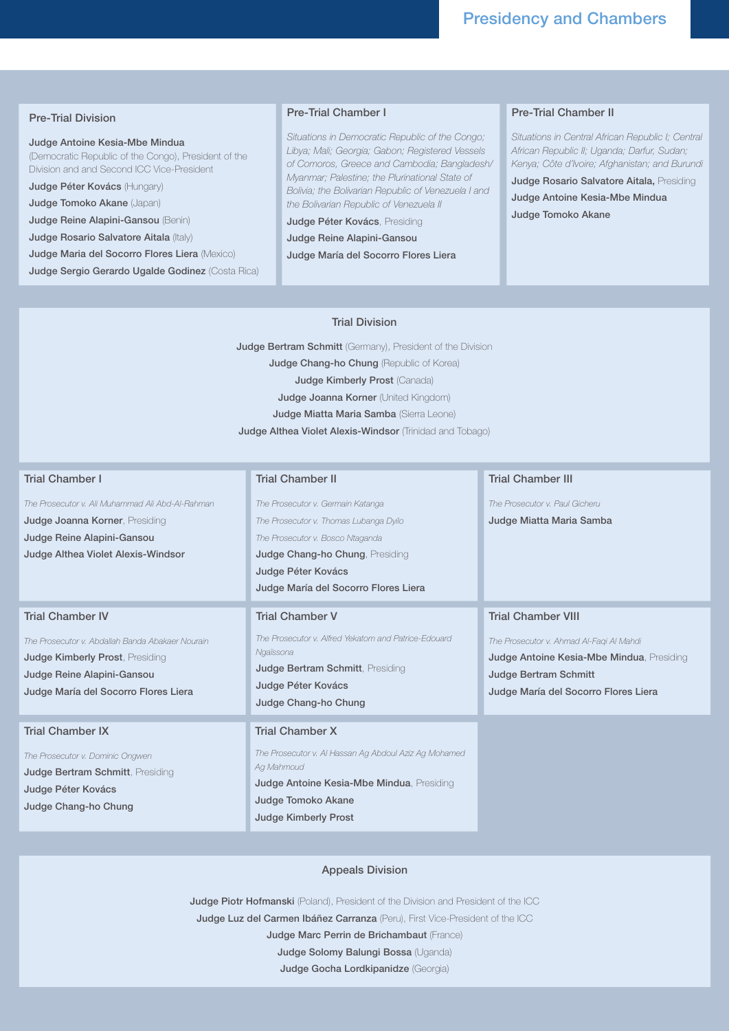### Pre-Trial Division

#### Judge Antoine Kesia-Mbe Mindua

(Democratic Republic of the Congo), President of the Division and and Second ICC Vice-President

Judge Péter Kovács (Hungary) Judge Tomoko Akane (Japan)

Judge Reine Alapini-Gansou (Benin)

Judge Rosario Salvatore Aitala (Italy)

Judge Maria del Socorro Flores Liera (Mexico)

Judge Sergio Gerardo Ugalde Godinez (Costa Rica)

### Pre-Trial Chamber I

*Situations in Democratic Republic of the Congo; Libya; Mali; Georgia; Gabon; Registered Vessels of Comoros, Greece and Cambodia; Bangladesh/ Myanmar; Palestine; the Plurinational State of Bolivia; the Bolivarian Republic of Venezuela I and the Bolivarian Republic of Venezuela II*

Judge Péter Kovács, Presiding

Judge Reine Alapini-Gansou

Judge María del Socorro Flores Liera

## Pre-Trial Chamber II

*Situations in Central African Republic I; Central African Republic II; Uganda; Darfur, Sudan; Kenya; Côte d'Ivoire; Afghanistan; and Burundi*  Judge Rosario Salvatore Aitala, Presiding Judge Antoine Kesia-Mbe Mindua Judge Tomoko Akane

#### Trial Division

**Judge Bertram Schmitt** (Germany), President of the Division **Judge Chang-ho Chung (Republic of Korea)** Judge Kimberly Prost (Canada) Judge Joanna Korner (United Kingdom) Judge Miatta Maria Samba (Sierra Leone) Judge Althea Violet Alexis-Windsor (Trinidad and Tobago)

#### Trial Chamber I

*The Prosecutor v. Ali Muhammad Ali Abd-Al-Rahman* Judge Joanna Korner, Presiding Judge Reine Alapini-Gansou Judge Althea Violet Alexis-Windsor

### Trial Chamber IV

*The Prosecutor v. Abdallah Banda Abakaer Nourain* Judge Kimberly Prost, Presiding Judge Reine Alapini-Gansou Judge María del Socorro Flores Liera

#### Trial Chamber IX

*The Prosecutor v. Dominic Ongwen* Judge Bertram Schmitt, Presiding Judge Péter Kovács Judge Chang-ho Chung

## Trial Chamber II

*The Prosecutor v. Germain Katanga The Prosecutor v. Thomas Lubanga Dyilo The Prosecutor v. Bosco Ntaganda* Judge Chang-ho Chung, Presiding Judge Péter Kovács Judge María del Socorro Flores Liera

### Trial Chamber V

*The Prosecutor v. Alfred Yekatom and Patrice-Edouard Ngaïssona* Judge Bertram Schmitt, Presiding Judge Péter Kovács Judge Chang-ho Chung

#### Trial Chamber X

*The Prosecutor v. Al Hassan Ag Abdoul Aziz Ag Mohamed Ag Mahmoud* Judge Antoine Kesia-Mbe Mindua, Presiding Judge Tomoko Akane Judge Kimberly Prost

#### Trial Chamber III

*The Prosecutor v. Paul Gicheru*

Judge Miatta Maria Samba

#### Trial Chamber VIII

*The Prosecutor v. Ahmad Al-Faqi Al Mahdi* Judge Antoine Kesia-Mbe Mindua, Presiding Judge Bertram Schmitt Judge María del Socorro Flores Liera

#### Appeals Division

Judge Piotr Hofmanski (Poland), President of the Division and President of the ICC Judge Luz del Carmen Ibáñez Carranza (Peru), First Vice-President of the ICC

Judge Marc Perrin de Brichambaut (France)

Judge Solomy Balungi Bossa (Uganda)

Judge Gocha Lordkipanidze (Georgia)